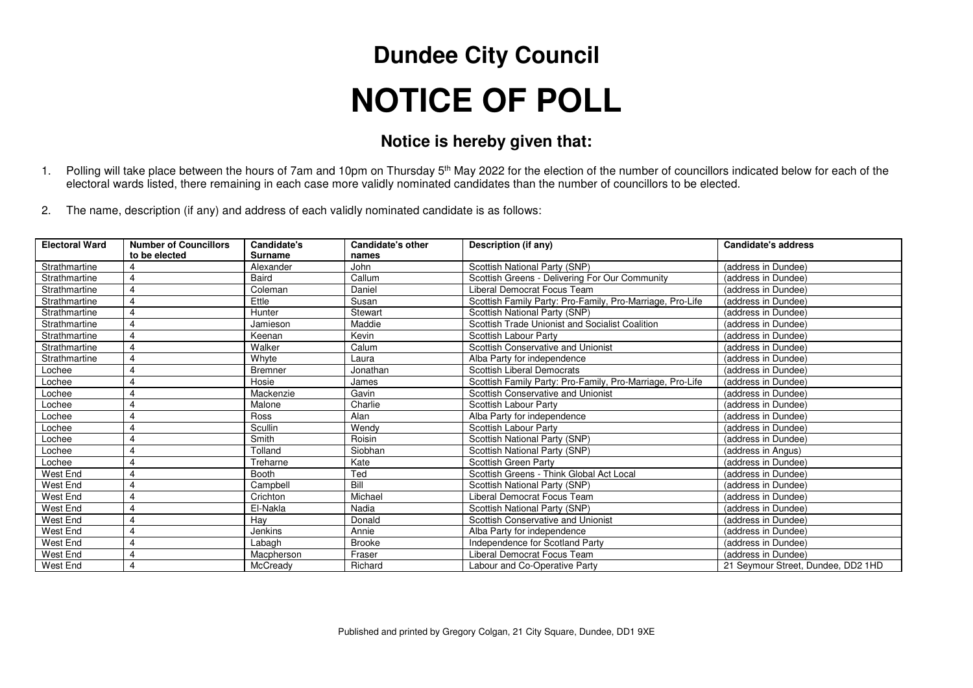## **Dundee City Council NOTICE OF POLL**

## **Notice is hereby given that:**

- 1. Polling will take place between the hours of 7am and 10pm on Thursday 5<sup>th</sup> May 2022 for the election of the number of councillors indicated below for each of the electoral wards listed, there remaining in each case more validly nominated candidates than the number of councillors to be elected.
- 2. The name, description (if any) and address of each validly nominated candidate is as follows:

| <b>Electoral Ward</b> | <b>Number of Councillors</b><br>to be elected | <b>Candidate's</b><br><b>Surname</b> | <b>Candidate's other</b><br>names | Description (if any)                                      | <b>Candidate's address</b>         |
|-----------------------|-----------------------------------------------|--------------------------------------|-----------------------------------|-----------------------------------------------------------|------------------------------------|
| Strathmartine         | 4                                             | Alexander                            | John                              | Scottish National Party (SNP)                             | (address in Dundee)                |
| Strathmartine         | 4                                             | Baird                                | Callum                            | Scottish Greens - Delivering For Our Community            | (address in Dundee)                |
| Strathmartine         | 4                                             | Coleman                              | Daniel                            | Liberal Democrat Focus Team                               | (address in Dundee)                |
| Strathmartine         | $\overline{4}$                                | Ettle                                | Susan                             | Scottish Family Party: Pro-Family, Pro-Marriage, Pro-Life | (address in Dundee)                |
| Strathmartine         | 4                                             | Hunter                               | Stewart                           | Scottish National Party (SNP)                             | (address in Dundee)                |
| Strathmartine         | 4                                             | Jamieson                             | Maddie                            | Scottish Trade Unionist and Socialist Coalition           | (address in Dundee)                |
| Strathmartine         | $\overline{4}$                                | Keenan                               | Kevin                             | Scottish Labour Party                                     | (address in Dundee)                |
| Strathmartine         | $\overline{4}$                                | Walker                               | Calum                             | Scottish Conservative and Unionist                        | (address in Dundee)                |
| Strathmartine         | $\overline{4}$                                | Whyte                                | Laura                             | Alba Party for independence                               | (address in Dundee)                |
| Lochee                | 4                                             | <b>Bremner</b>                       | Jonathan                          | <b>Scottish Liberal Democrats</b>                         | (address in Dundee)                |
| Lochee                | 4                                             | Hosie                                | James                             | Scottish Family Party: Pro-Family, Pro-Marriage, Pro-Life | (address in Dundee)                |
| Lochee                | 4                                             | Mackenzie                            | Gavin                             | Scottish Conservative and Unionist                        | (address in Dundee)                |
| Lochee                | 4                                             | Malone                               | Charlie                           | Scottish Labour Party                                     | (address in Dundee)                |
| Lochee                |                                               | Ross                                 | Alan                              | Alba Party for independence                               | (address in Dundee)                |
| Lochee                | 4                                             | Scullin                              | Wendy                             | Scottish Labour Party                                     | (address in Dundee)                |
| Lochee                |                                               | Smith                                | Roisin                            | Scottish National Party (SNP)                             | (address in Dundee)                |
| Lochee                |                                               | Tolland                              | Siobhan                           | Scottish National Party (SNP)                             | (address in Angus)                 |
| Lochee                | 4                                             | Treharne                             | Kate                              | Scottish Green Party                                      | (address in Dundee)                |
| West End              | 4                                             | <b>Booth</b>                         | Ted                               | Scottish Greens - Think Global Act Local                  | (address in Dundee)                |
| West End              | 4                                             | Campbell                             | Bill                              | Scottish National Party (SNP)                             | (address in Dundee)                |
| <b>West End</b>       | $\overline{4}$                                | Crichton                             | Michael                           | Liberal Democrat Focus Team                               | (address in Dundee)                |
| West End              | 4                                             | El-Nakla                             | Nadia                             | Scottish National Party (SNP)                             | (address in Dundee)                |
| West End              | $\overline{4}$                                | Hay                                  | Donald                            | Scottish Conservative and Unionist                        | (address in Dundee)                |
| West End              | 4                                             | <b>Jenkins</b>                       | Annie                             | Alba Party for independence                               | (address in Dundee)                |
| West End              | 4                                             | Labagh                               | <b>Brooke</b>                     | Independence for Scotland Party                           | (address in Dundee)                |
| West End              | 4                                             | Macpherson                           | Fraser                            | Liberal Democrat Focus Team                               | (address in Dundee)                |
| West End              | 4                                             | McCready                             | Richard                           | Labour and Co-Operative Party                             | 21 Seymour Street, Dundee, DD2 1HD |